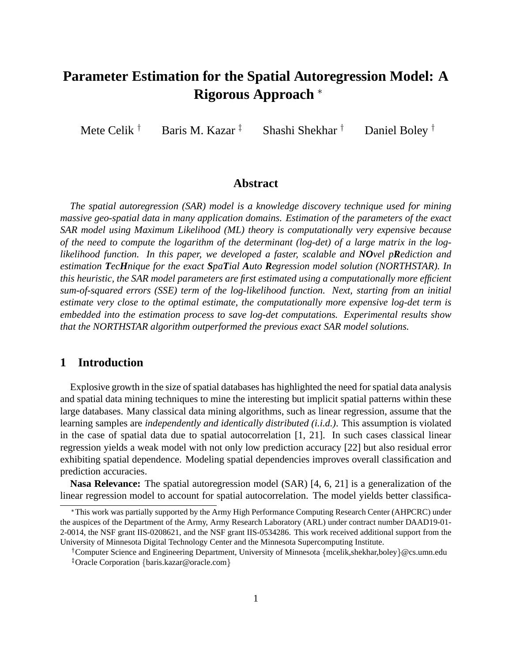# **Parameter Estimation for the Spatial Autoregression Model: A Rigorous Approach**

Mete Celik $^{\dagger}$ Baris M. Kazar<sup> $\ddagger$ </sup> Shashi Shekhar  $^{\dagger}$ Daniel Boley  $\dagger$ 

## **Abstract**

*The spatial autoregression (SAR) model is a knowledge discovery technique used for mining massive geo-spatial data in many application domains. Estimation of the parameters of the exact SAR model using Maximum Likelihood (ML) theory is computationally very expensive because of the need to compute the logarithm of the determinant (log-det) of a large matrix in the loglikelihood function. In this paper, we developed a faster, scalable and NOvel pRediction and estimation TecHnique for the exact SpaTial Auto Regression model solution (NORTHSTAR). In this heuristic, the SAR model parameters are first estimated using a computationally more efficient sum-of-squared errors (SSE) term of the log-likelihood function. Next, starting from an initial estimate very close to the optimal estimate, the computationally more expensive log-det term is embedded into the estimation process to save log-det computations. Experimental results show that the NORTHSTAR algorithm outperformed the previous exact SAR model solutions.*

## **1 Introduction**

Explosive growth in the size of spatial databases has highlighted the need for spatial data analysis and spatial data mining techniques to mine the interesting but implicit spatial patterns within these large databases. Many classical data mining algorithms, such as linear regression, assume that the learning samples are *independently and identically distributed (i.i.d.)*. This assumption is violated in the case of spatial data due to spatial autocorrelation [1, 21]. In such cases classical linear regression yields a weak model with not only low prediction accuracy [22] but also residual error exhibiting spatial dependence. Modeling spatial dependencies improves overall classification and prediction accuracies.

**Nasa Relevance:** The spatial autoregression model (SAR) [4, 6, 21] is a generalization of the linear regression model to account for spatial autocorrelation. The model yields better classifica-

This work was partially supported by the Army High Performance Computing Research Center (AHPCRC) under the auspices of the Department of the Army, Army Research Laboratory (ARL) under contract number DAAD19-01- 2-0014, the NSF grant IIS-0208621, and the NSF grant IIS-0534286. This work received additional support from the University of Minnesota Digital Technology Center and the Minnesota Supercomputing Institute.

<sup>&</sup>lt;sup>†</sup> Computer Science and Engineering Department, University of Minnesota {mcelik,shekhar,boley} @cs.umn.edu <sup>‡</sup>Oracle Corporation {baris.kazar@oracle.com}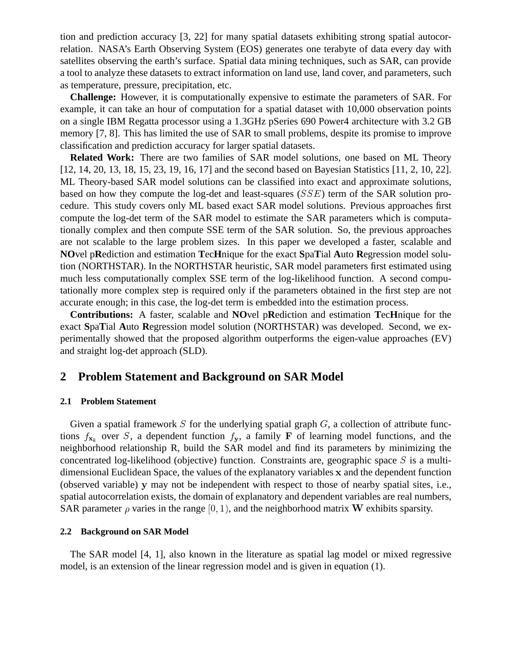tion and prediction accuracy [3, 22] for many spatial datasets exhibiting strong spatial autocorrelation. NASA's Earth Observing System (EOS) generates one terabyte of data every day with satellites observing the earth's surface. Spatial data mining techniques, such as SAR, can provide a tool to analyze these datasets to extract information on land use, land cover, and parameters, such as temperature, pressure, precipitation, etc.

**Challenge:** However, it is computationally expensive to estimate the parameters of SAR. For example, it can take an hour of computation for a spatial dataset with 10,000 observation points on a single IBM Regatta processor using a 1.3GHz pSeries 690 Power4 architecture with 3.2 GB memory [7, 8]. This has limited the use of SAR to small problems, despite its promise to improve classification and prediction accuracy for larger spatial datasets.

**Related Work:** There are two families of SAR model solutions, one based on ML Theory [12, 14, 20, 13, 18, 15, 23, 19, 16, 17] and the second based on Bayesian Statistics [11, 2, 10, 22]. ML Theory-based SAR model solutions can be classified into exact and approximate solutions, based on how they compute the log-det and least-squares (SSE) term of the SAR solution procedure. This study covers only ML based exact SAR model solutions. Previous approaches first compute the log-det term of the SAR model to estimate the SAR parameters which is computationally complex and then compute SSE term of the SAR solution. So, the previous approaches are not scalable to the large problem sizes. In this paper we developed a faster, scalable and **NO**vel p**R**ediction and estimation **T**ec**H**nique for the exact **S**pa**T**ial **A**uto **R**egression model solution (NORTHSTAR). In the NORTHSTAR heuristic, SAR model parameters first estimated using much less computationally complex SSE term of the log-likelihood function. A second computationally more complex step is required only if the parameters obtained in the first step are not accurate enough; in this case, the log-det term is embedded into the estimation process.

**Contributions:** A faster, scalable and **NO**vel p**R**ediction and estimation **T**ec**H**nique for the exact **S**pa**T**ial **A**uto **R**egression model solution (NORTHSTAR) was developed. Second, we experimentally showed that the proposed algorithm outperforms the eigen-value approaches (EV) and straight log-det approach (SLD).

#### **2 Problem Statement and Background on SAR Model**

#### **2.1 Problem Statement**

Given a spatial framework  $S$  for the underlying spatial graph  $G$ , a collection of attribute functions  $f_{x_k}$  over S, a dependent function  $f_x$ , a family F of learning model functions, and the neighborhood relationship R, build the SAR model and find its parameters by minimizing the concentrated log-likelihood (objective) function. Constraints are, geographic space  $S$  is a multidimensional Euclidean Space, the values of the explanatory variables <sup>x</sup> and the dependent function (observed variable) <sup>y</sup> may not be independent with respect to those of nearby spatial sites, i.e., spatial autocorrelation exists, the domain of explanatory and dependent variables are real numbers, SAR parameter  $\rho$  varies in the range [0, 1), and the neighborhood matrix W exhibits sparsity.

#### **2.2 Background on SAR Model**

The SAR model [4, 1], also known in the literature as spatial lag model or mixed regressive model, is an extension of the linear regression model and is given in equation (1).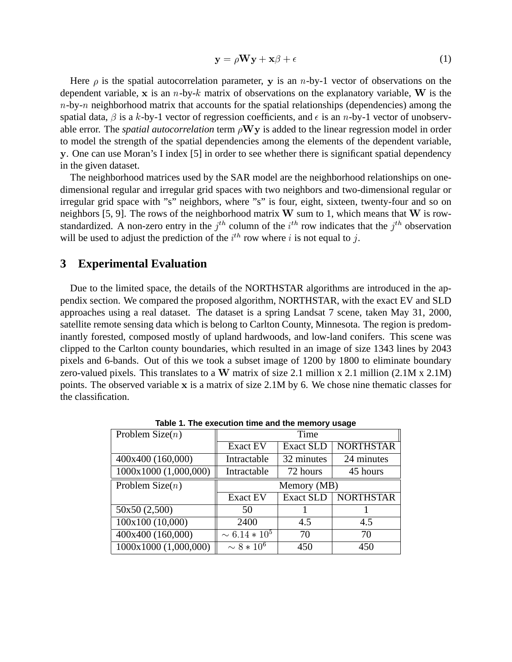$$
y = \rho W y + x\beta + \epsilon \tag{1}
$$

Here  $\rho$  is the spatial autocorrelation parameter, y is an *n*-by-1 vector of observations on the dependent variable, x is an  $n$ -by-k matrix of observations on the explanatory variable, W is the  $n$ -by- $n$  neighborhood matrix that accounts for the spatial relationships (dependencies) among the spatial data,  $\beta$  is a k-by-1 vector of regression coefficients, and  $\epsilon$  is an n-by-1 vector of unobservable error. The *spatial autocorrelation* term  $\rho Wy$  is added to the linear regression model in order to model the strength of the spatial dependencies among the elements of the dependent variable, <sup>y</sup>. One can use Moran's I index [5] in order to see whether there is significant spatial dependency in the given dataset.

The neighborhood matrices used by the SAR model are the neighborhood relationships on onedimensional regular and irregular grid spaces with two neighbors and two-dimensional regular or irregular grid space with "s" neighbors, where "s" is four, eight, sixteen, twenty-four and so on neighbors [5, 9]. The rows of the neighborhood matrix  $W$  sum to 1, which means that  $W$  is rowstandardized. A non-zero entry in the  $j<sup>th</sup>$  column of the  $i<sup>th</sup>$  row indicates that the  $j<sup>th</sup>$  observation will be used to adjust the prediction of the  $i<sup>th</sup>$  row where i is not equal to j.

## **3 Experimental Evaluation**

Due to the limited space, the details of the NORTHSTAR algorithms are introduced in the appendix section. We compared the proposed algorithm, NORTHSTAR, with the exact EV and SLD approaches using a real dataset. The dataset is a spring Landsat 7 scene, taken May 31, 2000, satellite remote sensing data which is belong to Carlton County, Minnesota. The region is predominantly forested, composed mostly of upland hardwoods, and low-land conifers. This scene was clipped to the Carlton county boundaries, which resulted in an image of size 1343 lines by 2043 pixels and 6-bands. Out of this we took a subset image of 1200 by 1800 to eliminate boundary zero-valued pixels. This translates to a W matrix of size 2.1 million x 2.1 million (2.1M x 2.1M) points. The observed variable <sup>x</sup> is a matrix of size 2.1M by 6. We chose nine thematic classes for the classification.

| Problem Size $(n)$    | Time               |                  |                  |
|-----------------------|--------------------|------------------|------------------|
|                       | <b>Exact EV</b>    | <b>Exact SLD</b> | <b>NORTHSTAR</b> |
| 400x400 (160,000)     | Intractable        | 32 minutes       | 24 minutes       |
| 1000x1000 (1,000,000) | Intractable        | 72 hours         | 45 hours         |
| Problem Size $(n)$    | Memory (MB)        |                  |                  |
|                       | <b>Exact EV</b>    | <b>Exact SLD</b> | <b>NORTHSTAR</b> |
| 50x50 (2,500)         | 50                 |                  |                  |
| 100x100 (10,000)      | 2400               | 4.5              | 4.5              |
| 400x400 (160,000)     | $\sim 6.14 * 10^5$ | 70               | 70               |
| 1000x1000 (1,000,000) | $\sim 8 * 10^6$    | 450              | 450              |

**Table 1. The execution time and the memory usage**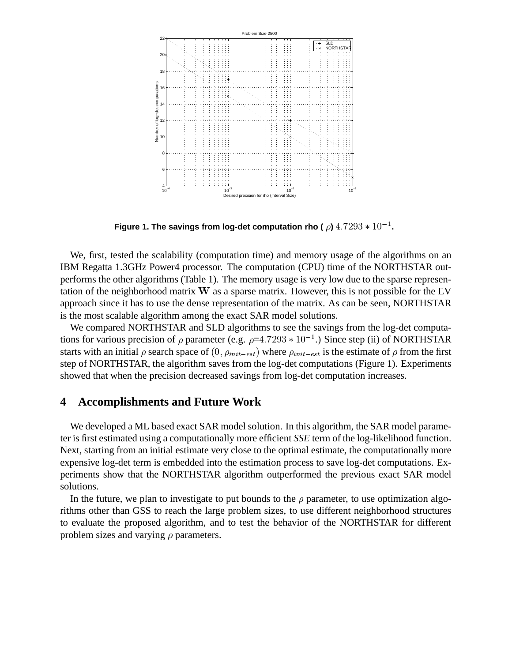

Figure 1. The savings from log-det computation rho (  $\rho$ )  $4.7293*10^{-1}$ .

We, first, tested the scalability (computation time) and memory usage of the algorithms on an IBM Regatta 1.3GHz Power4 processor. The computation (CPU) time of the NORTHSTAR outperforms the other algorithms (Table 1). The memory usage is very low due to the sparse representation of the neighborhood matrix <sup>W</sup> as a sparse matrix. However, this is not possible for the EV approach since it has to use the dense representation of the matrix. As can be seen, NORTHSTAR is the most scalable algorithm among the exact SAR model solutions.

We compared NORTHSTAR and SLD algorithms to see the savings from the log-det computations for various precision of  $\rho$  parameter (e.g.  $\rho=4.7293*10^{-1}$ .) Since step (ii) of NORTHSTAR starts with an initial  $\rho$  search space of  $(0, \rho_{init-est})$  where  $\rho_{init-est}$  is the estimate of  $\rho$  from the first step of NORTHSTAR, the algorithm saves from the log-det computations (Figure 1). Experiments showed that when the precision decreased savings from log-det computation increases.

## **4 Accomplishments and Future Work**

We developed a ML based exact SAR model solution. In this algorithm, the SAR model parameter is first estimated using a computationally more efficient *SSE* term of the log-likelihood function. Next, starting from an initial estimate very close to the optimal estimate, the computationally more expensive log-det term is embedded into the estimation process to save log-det computations. Experiments show that the NORTHSTAR algorithm outperformed the previous exact SAR model solutions.

In the future, we plan to investigate to put bounds to the  $\rho$  parameter, to use optimization algorithms other than GSS to reach the large problem sizes, to use different neighborhood structures to evaluate the proposed algorithm, and to test the behavior of the NORTHSTAR for different problem sizes and varying  $\rho$  parameters.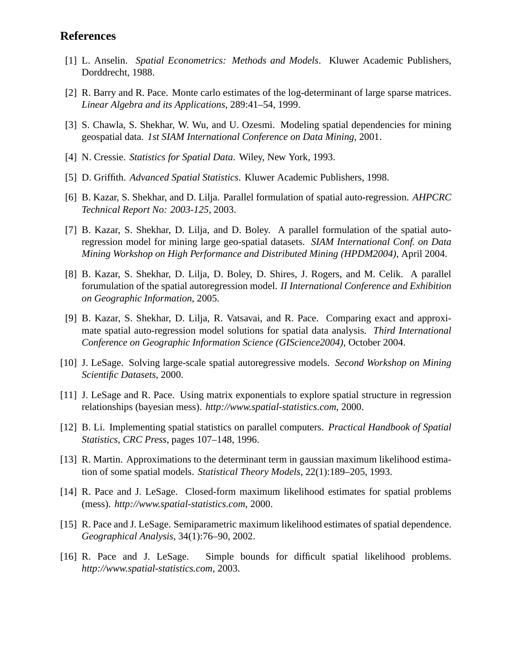## **References**

- [1] L. Anselin. *Spatial Econometrics: Methods and Models*. Kluwer Academic Publishers, Dorddrecht, 1988.
- [2] R. Barry and R. Pace. Monte carlo estimates of the log-determinant of large sparse matrices. *Linear Algebra and its Applications*, 289:41–54, 1999.
- [3] S. Chawla, S. Shekhar, W. Wu, and U. Ozesmi. Modeling spatial dependencies for mining geospatial data. *1st SIAM International Conference on Data Mining*, 2001.
- [4] N. Cressie. *Statistics for Spatial Data*. Wiley, New York, 1993.
- [5] D. Griffith. *Advanced Spatial Statistics*. Kluwer Academic Publishers, 1998.
- [6] B. Kazar, S. Shekhar, and D. Lilja. Parallel formulation of spatial auto-regression. *AHPCRC Technical Report No: 2003-125*, 2003.
- [7] B. Kazar, S. Shekhar, D. Lilja, and D. Boley. A parallel formulation of the spatial autoregression model for mining large geo-spatial datasets. *SIAM International Conf. on Data Mining Workshop on High Performance and Distributed Mining (HPDM2004)*, April 2004.
- [8] B. Kazar, S. Shekhar, D. Lilja, D. Boley, D. Shires, J. Rogers, and M. Celik. A parallel forumulation of the spatial autoregression model. *II International Conference and Exhibition on Geographic Information*, 2005.
- [9] B. Kazar, S. Shekhar, D. Lilja, R. Vatsavai, and R. Pace. Comparing exact and approximate spatial auto-regression model solutions for spatial data analysis. *Third International Conference on Geographic Information Science (GIScience2004)*, October 2004.
- [10] J. LeSage. Solving large-scale spatial autoregressive models. *Second Workshop on Mining Scientific Datasets*, 2000.
- [11] J. LeSage and R. Pace. Using matrix exponentials to explore spatial structure in regression relationships (bayesian mess). *http://www.spatial-statistics.com*, 2000.
- [12] B. Li. Implementing spatial statistics on parallel computers. *Practical Handbook of Spatial Statistics, CRC Press*, pages 107–148, 1996.
- [13] R. Martin. Approximations to the determinant term in gaussian maximum likelihood estimation of some spatial models. *Statistical Theory Models*, 22(1):189–205, 1993.
- [14] R. Pace and J. LeSage. Closed-form maximum likelihood estimates for spatial problems (mess). *http://www.spatial-statistics.com*, 2000.
- [15] R. Pace and J. LeSage. Semiparametric maximum likelihood estimates of spatial dependence. *Geographical Analysis*, 34(1):76–90, 2002.
- [16] R. Pace and J. LeSage. Simple bounds for difficult spatial likelihood problems. *http://www.spatial-statistics.com*, 2003.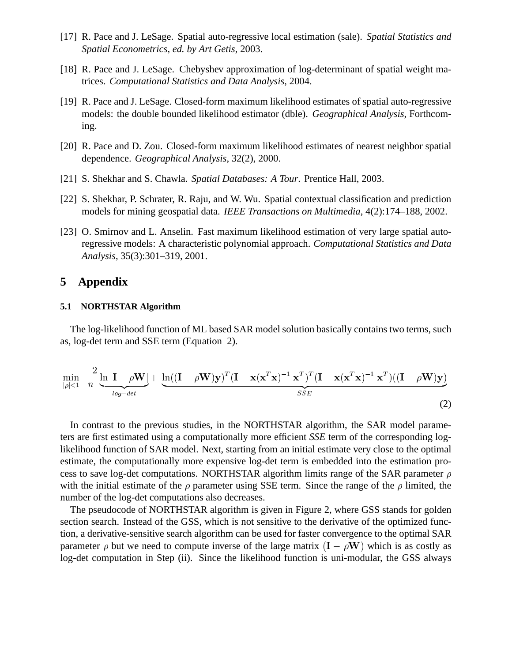- [17] R. Pace and J. LeSage. Spatial auto-regressive local estimation (sale). *Spatial Statistics and Spatial Econometrics, ed. by Art Getis*, 2003.
- [18] R. Pace and J. LeSage. Chebyshev approximation of log-determinant of spatial weight matrices. *Computational Statistics and Data Analysis*, 2004.
- [19] R. Pace and J. LeSage. Closed-form maximum likelihood estimates of spatial auto-regressive models: the double bounded likelihood estimator (dble). *Geographical Analysis*, Forthcoming.
- [20] R. Pace and D. Zou. Closed-form maximum likelihood estimates of nearest neighbor spatial dependence. *Geographical Analysis*, 32(2), 2000.
- [21] S. Shekhar and S. Chawla. *Spatial Databases: A Tour*. Prentice Hall, 2003.
- [22] S. Shekhar, P. Schrater, R. Raju, and W. Wu. Spatial contextual classification and prediction models for mining geospatial data. *IEEE Transactions on Multimedia*, 4(2):174–188, 2002.
- [23] O. Smirnov and L. Anselin. Fast maximum likelihood estimation of very large spatial autoregressive models: A characteristic polynomial approach. *Computational Statistics and Data Analysis*, 35(3):301–319, 2001.

# **5 Appendix**

#### **5.1 NORTHSTAR Algorithm**

The log-likelihood function of ML based SAR model solution basically contains two terms, such as, log-det term and SSE term (Equation 2).

$$
\min_{|\rho|<1} \frac{-2}{n} \underbrace{\ln |\mathbf{I} - \rho \mathbf{W}|}_{\log-\det} + \underbrace{\ln ((\mathbf{I} - \rho \mathbf{W}) \mathbf{y})^T (\mathbf{I} - \mathbf{x} (\mathbf{x}^T \mathbf{x})^{-1} \mathbf{x}^T)^T (\mathbf{I} - \mathbf{x} (\mathbf{x}^T \mathbf{x})^{-1} \mathbf{x}^T) ((\mathbf{I} - \rho \mathbf{W}) \mathbf{y})}{\mathit{SSE}} \tag{2}
$$

In contrast to the previous studies, in the NORTHSTAR algorithm, the SAR model parameters are first estimated using a computationally more efficient *SSE* term of the corresponding loglikelihood function of SAR model. Next, starting from an initial estimate very close to the optimal estimate, the computationally more expensive log-det term is embedded into the estimation process to save log-det computations. NORTHSTAR algorithm limits range of the SAR parameter  $\rho$ with the initial estimate of the  $\rho$  parameter using SSE term. Since the range of the  $\rho$  limited, the number of the log-det computations also decreases.

The pseudocode of NORTHSTAR algorithm is given in Figure 2, where GSS stands for golden section search. Instead of the GSS, which is not sensitive to the derivative of the optimized function, a derivative-sensitive search algorithm can be used for faster convergence to the optimal SAR parameter  $\rho$  but we need to compute inverse of the large matrix  $(I - \rho W)$  which is as costly as log-det computation in Step (ii). Since the likelihood function is uni-modular, the GSS always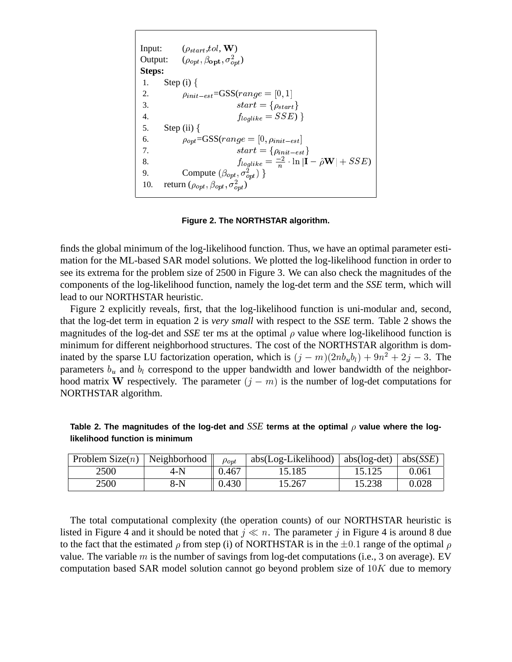Input:  $(\rho_{start}, tol, \mathbf{W})$ Output:  $(\rho_{opt}, \beta_{opt}, \sigma_{opt}^2)$ **Steps:** 1. Step (i)  $\{$ 2.  $\rho_{init-est} = GSS(range = [0, 1])$ 3.  $start = {\rho_{start}}$ 4.  $f_{loglike} = SSE$ ) } 5. Step (ii)  $\{$ 6.  $\rho_{opt} = \text{GSS}(range = [0, \rho_{init-est}])$ 7.  $start = \{\rho_{init-est}\}\$ 8.  $f_{loglike} = \frac{-2}{n} \cdot \ln |\mathbf{I} - \hat{\rho} \mathbf{W}| + SSE$ 9. Compute  $(\beta_{opt}, \sigma_{opt}^2)$  } 10. return  $(\rho_{opt}, \beta_{opt}, \sigma_{opt}^2)$ 

#### **Figure 2. The NORTHSTAR algorithm.**

finds the global minimum of the log-likelihood function. Thus, we have an optimal parameter estimation for the ML-based SAR model solutions. We plotted the log-likelihood function in order to see its extrema for the problem size of 2500 in Figure 3. We can also check the magnitudes of the components of the log-likelihood function, namely the log-det term and the *SSE* term, which will lead to our NORTHSTAR heuristic.

Figure 2 explicitly reveals, first, that the log-likelihood function is uni-modular and, second, that the log-det term in equation 2 is *very small* with respect to the *SSE* term. Table 2 shows the magnitudes of the log-det and *SSE* ter ms at the optimal  $\rho$  value where log-likelihood function is minimum for different neighborhood structures. The cost of the NORTHSTAR algorithm is dominated by the sparse LU factorization operation, which is  $(j - m)(2nb_u b_l) + 9n^2 + 2j - 3$ . The parameters  $b_u$  and  $b_l$  correspond to the upper bandwidth and lower bandwidth of the neighborhood matrix W respectively. The parameter  $(j - m)$  is the number of log-det computations for NORTHSTAR algorithm.

| Table 2. The magnitudes of the log-det and SSE terms at the optimal $\rho$ value where the log- |  |  |
|-------------------------------------------------------------------------------------------------|--|--|
| likelihood function is minimum                                                                  |  |  |

| Problem Size $(n)$ | Neighborhood | $\rho_{opt}$ | abs(Log-Likelihood) | $abs(log-det)$ | abs $(SSE)$ |
|--------------------|--------------|--------------|---------------------|----------------|-------------|
| 2500               | 4-N          | 0.467        | 15.185              | 15.125         | 0.061       |
| 2500               | 8-N          | 0.430        | 15.267              | 15.238         | 0.028       |

The total computational complexity (the operation counts) of our NORTHSTAR heuristic is listed in Figure 4 and it should be noted that  $j \ll n$ . The parameter j in Figure 4 is around 8 due to the fact that the estimated  $\rho$  from step (i) of NORTHSTAR is in the  $\pm 0.1$  range of the optimal  $\rho$ value. The variable  $m$  is the number of savings from log-det computations (i.e., 3 on average). EV computation based SAR model solution cannot go beyond problem size of  $10K$  due to memory